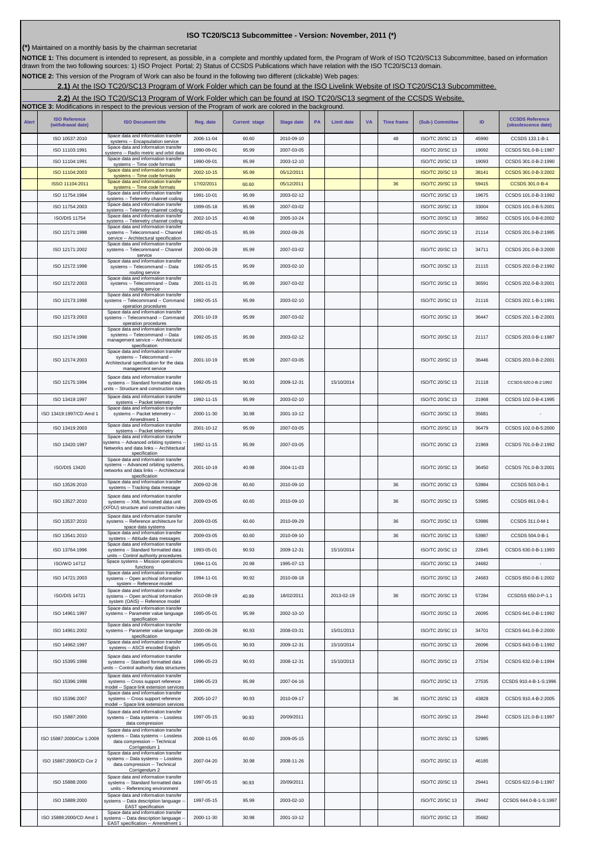## **ISO TC20/SC13 Subcommittee - Version: November, 2011 (\*)**

**(\*)** Maintained on a monthly basis by the chairman secretariat

NOTICE 1: This document is intended to represent, as possible, in a complete and monthly updated form, the Program of Work of ISO TC20/SC13 Subcommittee, based on information<br>drawn from the two following sources: 1) ISO Pr

**NOTICE 2:** This version of the Program of Work can also be found in the following two different (clickable) Web pages:

**2.1)** At the ISO TC20/SC13 Program of Work Folder which can be found at the ISO Livelink Website of ISO TC20/SC13 Subcommittee.

**2.2)** At the ISO TC20/SC13 Program of Work Folder which can be found at ISO TC20/SC13 segment of the CCSDS Website.

|              |                                           | <b>NOTICE 3:</b> Modifications in respect to the previous version of the Program of work are colored in the background.                    |            |                      |                   |           |                   |           |                   |                        |       |                                               |
|--------------|-------------------------------------------|--------------------------------------------------------------------------------------------------------------------------------------------|------------|----------------------|-------------------|-----------|-------------------|-----------|-------------------|------------------------|-------|-----------------------------------------------|
| <b>Alert</b> | <b>ISO Reference</b><br>(withdrawal date) | <b>ISO Document title</b>                                                                                                                  | Reg. date  | <b>Current stage</b> | <b>Stage date</b> | <b>PA</b> | <b>Limit date</b> | <b>VA</b> | <b>Time frame</b> | (Sub-) Committee       | ID    | <b>CCSDS Reference</b><br>(obsolescence date) |
|              | ISO 10537:2010                            | Space data and information transfer<br>systems -- Encapsulation service                                                                    | 2006-11-04 | 60.60                | 2010-09-10        |           |                   |           | 48                | ISO/TC 20/SC 13        | 45990 | CCSDS 133.1-B-1                               |
|              | ISO 11103:1991                            | Space data and information transfer<br>systems -- Radio metric and orbit data                                                              | 1990-09-01 | 95.99                | 2007-03-05        |           |                   |           |                   | ISO/TC 20/SC 13        | 19092 | CCSDS 501.0-B-1:1987                          |
|              | ISO 11104:1991                            | Space data and information transfer<br>systems -- Time code formats                                                                        | 1990-09-01 | 95.99                | 2003-12-10        |           |                   |           |                   | ISO/TC 20/SC 13        | 19093 | CCSDS 301.0-B-2:1990                          |
|              | ISO 11104:2003                            | Space data and information transfer<br>systems -- Time code formats                                                                        | 2002-10-15 | 95.99                | 05/12/2011        |           |                   |           |                   | <b>ISO/TC 20/SC 13</b> | 38141 | CCSDS 301.0-B-3:2002                          |
|              | ISSO 11104:2011                           | Space data and information transfer<br>systems -- Time code formats                                                                        | 17/02/2011 | 60.60                | 05/12/2011        |           |                   |           | 36                | <b>ISO/TC 20/SC 13</b> | 59415 | CCSDS 301.0-B-4                               |
|              | ISO 11754:1994                            | Space data and information transfer<br>systems -- Telemetry channel coding                                                                 | 1991-10-01 | 95.99                | 2003-02-12        |           |                   |           |                   | ISO/TC 20/SC 13        | 19675 | CCSDS 101.0-B-3:1992                          |
|              | ISO 11754:2003                            | Space data and information transfer<br>systems -- Telemetry channel coding                                                                 | 1999-05-18 | 95.99                | 2007-03-02        |           |                   |           |                   | ISO/TC 20/SC 13        | 33004 | CCSDS 101.0-B-5:2001                          |
|              | <b>ISO/DIS 11754</b>                      | Space data and information transfer<br>systems -- Telemetry channel coding                                                                 | 2002-10-15 | 40.98                | 2005-10-24        |           |                   |           |                   | ISO/TC 20/SC 13        | 38562 | CCSDS 101.0-B-6:2002                          |
|              | ISO 12171:1998                            | Space data and information transfer<br>systems -- Telecommand -- Channel<br>service -- Architectural specification                         | 1992-05-15 | 95.99                | 2002-09-26        |           |                   |           |                   | ISO/TC 20/SC 13        | 21114 | CCSDS 201.0-B-2:1995                          |
|              | ISO 12171:2002                            | Space data and information transfer<br>systems -- Telecommand -- Channel<br>service                                                        | 2000-06-28 | 95.99                | 2007-03-02        |           |                   |           |                   | <b>ISO/TC 20/SC 13</b> | 34711 | CCSDS 201.0-B-3:2000                          |
|              | ISO 12172:1998                            | Space data and information transfer<br>systems -- Telecommand -- Data<br>routing service                                                   | 1992-05-15 | 95.99                | 2003-02-10        |           |                   |           |                   | ISO/TC 20/SC 13        | 21115 | CCSDS 202.0-B-2:1992                          |
|              | ISO 12172:2003                            | Space data and information transfer<br>systems -- Telecommand -- Data<br>routing service                                                   | 2001-11-21 | 95.99                | 2007-03-02        |           |                   |           |                   | ISO/TC 20/SC 13        | 36591 | CCSDS 202.0-B-3:2001                          |
|              | ISO 12173:1998                            | Space data and information transfer<br>systems -- Telecommand -- Command<br>operation procedures                                           | 1992-05-15 | 95.99                | 2003-02-10        |           |                   |           |                   | ISO/TC 20/SC 13        | 21116 | CCSDS 202.1-B-1:1991                          |
|              | ISO 12173:2003                            | Space data and information transfer<br>systems -- Telecommand -- Command<br>operation procedures                                           | 2001-10-19 | 95.99                | 2007-03-02        |           |                   |           |                   | ISO/TC 20/SC 13        | 36447 | CCSDS 202.1-B-2:2001                          |
|              | ISO 12174:1998                            | Space data and information transfer<br>systems -- Telecommand -- Data<br>management service -- Architectural<br>specification              | 1992-05-15 | 95.99                | 2003-02-12        |           |                   |           |                   | ISO/TC 20/SC 13        | 21117 | CCSDS 203.0-B-1:1987                          |
|              | ISO 12174:2003                            | Space data and information transfer<br>systems -- Telecommand --<br>Architectural specification for the data<br>management service         | 2001-10-19 | 95.99                | 2007-03-05        |           |                   |           |                   | ISO/TC 20/SC 13        | 36446 | CCSDS 203.0-B-2:2001                          |
|              | ISO 12175:1994                            | Space data and information transfer<br>systems -- Standard formatted data<br>units -- Structure and construction rules                     | 1992-05-15 | 90.93                | 2009-12-31        |           | 15/10/2014        |           |                   | ISO/TC 20/SC 13        | 21118 | CCSDS 620.0-B-2:1992                          |
|              | ISO 13419:1997                            | Space data and information transfer<br>systems -- Packet telemetry                                                                         | 1992-11-15 | 95.99                | 2003-02-10        |           |                   |           |                   | ISO/TC 20/SC 13        | 21968 | CCSDS 102.0-B-4:1995                          |
|              | ISO 13419:1997/CD Amd 1                   | Space data and information transfer<br>systems -- Packet telemetry --<br>Amendment 1                                                       | 2000-11-30 | 30.98                | 2001-10-12        |           |                   |           |                   | ISO/TC 20/SC 13        | 35681 |                                               |
|              | ISO 13419:2003                            | Space data and information transfer<br>systems -- Packet telemetry                                                                         | 2001-10-12 | 95.99                | 2007-03-05        |           |                   |           |                   | ISO/TC 20/SC 13        | 36479 | CCSDS 102.0-B-5:2000                          |
|              | ISO 13420:1997                            | Space data and information transfer<br>systems -- Advanced orbiting systems -<br>Networks and data links -- Architectural<br>specification | 1992-11-15 | 95.99                | 2007-03-05        |           |                   |           |                   | ISO/TC 20/SC 13        | 21969 | CCSDS 701.0-B-2:1992                          |
|              | ISO/DIS 13420                             | Space data and information transfer<br>systems -- Advanced orbiting systems,<br>networks and data links -- Architectural<br>specification  | 2001-10-19 | 40.98                | 2004-11-03        |           |                   |           |                   | ISO/TC 20/SC 13        | 36450 | CCSDS 701.0-B-3:2001                          |
|              | ISO 13526:2010                            | Space data and information transfer<br>systems -- Tracking data message                                                                    | 2009-02-26 | 60.60                | 2010-09-10        |           |                   |           | 36                | ISO/TC 20/SC 13        | 53984 | CCSDS 503.0-B-1                               |
|              | ISO 13527:2010                            | Space data and information transfer<br>systems -- XML formatted data unit<br>XFDU) structure and construction rules                        | 2009-03-05 | 60.60                | 2010-09-10        |           |                   |           | 36                | ISO/TC 20/SC 13        | 53985 | CCSDS 661.0-B-1                               |
|              | ISO 13537:2010                            | Space data and information transfer<br>systems -- Reference architecture for<br>space data systems                                         | 2009-03-05 | 60.60                | 2010-09-29        |           |                   |           | 36                | ISO/TC 20/SC 13        | 53986 | CCSDS 311.0-M-1                               |
|              | ISO 13541:2010                            | Space data and information transfer<br>systems -- Attitude data messages                                                                   | 2009-03-05 | 60.60                | 2010-09-10        |           |                   |           | 36                | ISO/TC 20/SC 13        | 53987 | CCSDS 504.0-B-1                               |
|              | ISO 13764:1996                            | Space data and information transfer<br>systems -- Standard formatted data                                                                  | 1993-05-01 | 90.93                | 2009-12-31        |           | 15/10/2014        |           |                   | ISO/TC 20/SC 13        | 22845 | CCSDS 630.0-B-1:1993                          |
|              | <b>ISO/WD 14712</b>                       | units -- Control authority procedures<br>Space systems -- Mission operations                                                               | 1994-11-01 | 20.98                | 1995-07-13        |           |                   |           |                   | ISO/TC 20/SC 13        | 24682 |                                               |
|              | ISO 14721:2003                            | functions<br>Space data and information transfer<br>systems -- Open archival information                                                   | 1994-11-01 | 90.92                | 2010-08-18        |           |                   |           |                   | ISO/TC 20/SC 13        | 24683 | CCSDS 650.0-B-1:2002                          |
|              |                                           | system -- Reference model<br>Space data and information transfer                                                                           |            |                      |                   |           |                   |           |                   |                        |       |                                               |
|              | <b>ISO/DIS 14721</b>                      | systems -- Open archival information<br>system (OAIS) -- Reference model<br>Space data and information transfer                            | 2010-08-19 | 40.99                | 18/02/2011        |           | 2013-02-19        |           | 36                | ISO/TC 20/SC 13        | 57284 | CCSDSS 650.0-P-1.1                            |
|              | ISO 14961:1997                            | systems -- Parameter value language<br>specification<br>Space data and information transfer                                                | 1995-05-01 | 95.99                | 2002-10-10        |           |                   |           |                   | <b>ISO/TC 20/SC 13</b> | 26095 | CCSDS 641.0-B-1:1992                          |
|              | ISO 14961:2002                            | systems -- Parameter value language<br>specification<br>Space data and information transfer                                                | 2000-06-28 | 90.93                | 2008-03-31        |           | 15/01/2013        |           |                   | <b>ISO/TC 20/SC 13</b> | 34701 | CCSDS 641.0-B-2:2000                          |
|              | ISO 14962:1997                            | systems -- ASCII encoded English                                                                                                           | 1995-05-01 | 90.93                | 2009-12-31        |           | 15/10/2014        |           |                   | ISO/TC 20/SC 13        | 26096 | CCSDS 643.0-B-1:1992                          |
|              | ISO 15395:1998                            | Space data and information transfer<br>systems -- Standard formatted data<br>units -- Control authority data structures                    | 1996-05-23 | 90.93                | 2008-12-31        |           | 15/10/2013        |           |                   | ISO/TC 20/SC 13        | 27534 | CCSDS 632.0-B-1:1994                          |
|              | ISO 15396:1998                            | Space data and information transfer<br>systems -- Cross support reference<br>model -- Space link extension services                        | 1996-05-23 | 95.99                | 2007-04-16        |           |                   |           |                   | ISO/TC 20/SC 13        | 27535 | CCSDS 910.4-B-1-S:1996                        |
|              | ISO 15396:2007                            | Space data and information transfer<br>systems -- Cross support reference<br>model -- Space link extension services                        | 2005-10-27 | 90.93                | 2010-09-17        |           |                   |           | 36                | ISO/TC 20/SC 13        | 43828 | CCSDS 910.4-B-2:2005                          |
|              | ISO 15887:2000                            | Space data and information transfer<br>systems -- Data systems -- Lossless<br>data compression                                             | 1997-05-15 | 90.93                | 20/09/2011        |           |                   |           |                   | ISO/TC 20/SC 13        | 29440 | CCSDS 121.0-B-1:1997                          |
|              | ISO 15887:2000/Cor 1:2009                 | Space data and information transfer<br>systems -- Data systems -- Lossless<br>data compression -- Technical<br>Corrigendum 1               | 2008-11-05 | 60.60                | 2009-05-15        |           |                   |           |                   | ISO/TC 20/SC 13        | 52985 |                                               |
|              | ISO 15887:2000/CD Cor 2                   | Space data and information transfer<br>systems -- Data systems -- Lossless<br>data compression -- Technical<br>Corrigendum 2               | 2007-04-20 | 30.98                | 2008-11-26        |           |                   |           |                   | ISO/TC 20/SC 13        | 46185 |                                               |
|              | ISO 15888:2000                            | Space data and information transfer<br>systems -- Standard formatted data<br>units -- Referencing environment                              | 1997-05-15 | 90.93                | 20/09/2011        |           |                   |           |                   | ISO/TC 20/SC 13        | 29441 | CCSDS 622.0-B-1:1997                          |
|              | ISO 15889:2000                            | Space data and information transfer<br>systems -- Data description language -<br>EAST specification                                        | 1997-05-15 | 95.99                | 2003-02-10        |           |                   |           |                   | ISO/TC 20/SC 13        | 29442 | CCSDS 644.0-B-1-S:1997                        |
|              | ISO 15889:2000/CD Amd 1                   | Space data and information transfer<br>systems -- Data description language --<br>EAST specification -- Amendment 1                        | 2000-11-30 | 30.98                | 2001-10-12        |           |                   |           |                   | ISO/TC 20/SC 13        | 35682 |                                               |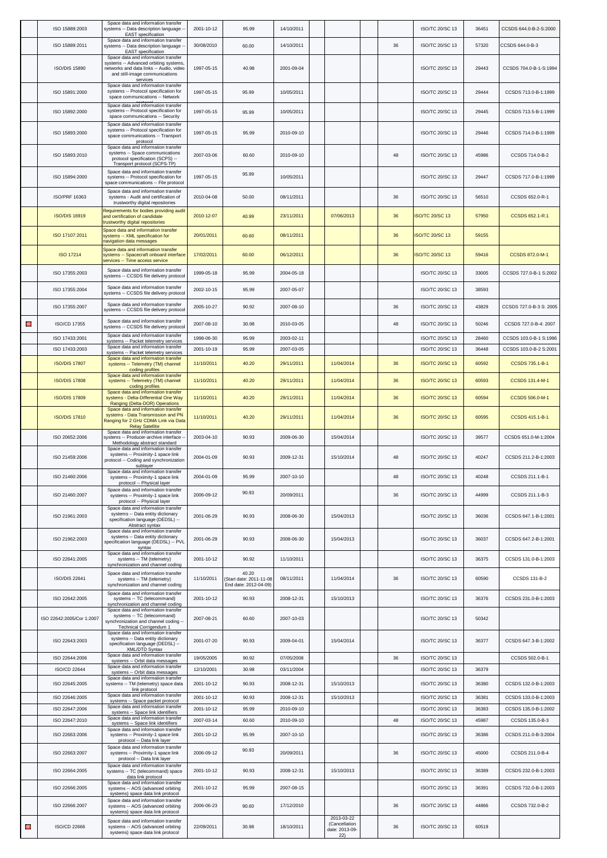|   | ISO 15889:2003                   | Space data and information transfer<br>systems -- Data description language -<br><b>EAST</b> specification                                                            | 2001-10-12               | 95.99                                                    | 14/10/2011               |                                                      |    | ISO/TC 20/SC 13                    | 36451          | CCSDS 644.0-B-2-S:2000                       |
|---|----------------------------------|-----------------------------------------------------------------------------------------------------------------------------------------------------------------------|--------------------------|----------------------------------------------------------|--------------------------|------------------------------------------------------|----|------------------------------------|----------------|----------------------------------------------|
|   | ISO 15889:2011                   | Space data and information transfer<br>systems -- Data description language -<br><b>EAST</b> specification                                                            | 30/08/2010               | 60.00                                                    | 14/10/2011               |                                                      | 36 | <b>ISO/TC 20/SC 13</b>             | 57320          | CCSDS 644.0-B-3                              |
|   | <b>ISO/DIS 15890</b>             | Space data and information transfer<br>systems -- Advanced orbiting systems,<br>networks and data links -- Audio, video<br>and still-image communications<br>services | 1997-05-15               | 40.98                                                    | 2001-09-04               |                                                      |    | ISO/TC 20/SC 13                    | 29443          | CCSDS 704.0-B-1-S:1994                       |
|   | ISO 15891:2000                   | Space data and information transfer<br>systems -- Protocol specification for<br>space communications -- Network                                                       | 1997-05-15               | 95.99                                                    | 10/05/2011               |                                                      |    | ISO/TC 20/SC 13                    | 29444          | CCSDS 713.0-B-1:1999                         |
|   | ISO 15892:2000                   | Space data and information transfer<br>systems -- Protocol specification for<br>space communications -- Security                                                      | 1997-05-15               | 95.99                                                    | 10/05/2011               |                                                      |    | ISO/TC 20/SC 13                    | 29445          | CCSDS 713.5-B-1:1999                         |
|   | ISO 15893:2000                   | Space data and information transfer<br>systems -- Protocol specification for<br>space communications -- Transport<br>protocol                                         | 1997-05-15               | 95.99                                                    | 2010-09-10               |                                                      |    | <b>ISO/TC 20/SC 13</b>             | 29446          | CCSDS 714.0-B-1:1999                         |
|   | ISO 15893:2010                   | Space data and information transfer<br>systems -- Space communications<br>protocol specification (SCPS) --<br>Transport protocol (SCPS-TP)                            | 2007-03-06               | 60.60                                                    | 2010-09-10               |                                                      | 48 | ISO/TC 20/SC 13                    | 45986          | CCSDS 714.0-B-2                              |
|   | ISO 15894:2000                   | Space data and information transfer<br>systems -- Protocol specification for<br>space communications -- File protocol                                                 | 1997-05-15               | 95.99                                                    | 10/05/2011               |                                                      |    | <b>ISO/TC 20/SC 13</b>             | 29447          | CCSDS 717.0-B-1:1999                         |
|   | ISO/PRF 16363                    | Space data and information transfer<br>systems - Audit and certification of<br>trustworthy digital repositories                                                       | 2010-04-08               | 50.00                                                    | 08/11/2011               |                                                      | 36 | ISO/TC 20/SC 13                    | 56510          | CCSDS 652.0-R-1                              |
|   | <b>ISO/DIS 16919</b>             | Requirements for bodies providing audi<br>and certification of candidate<br>trustworthy digital repositories                                                          | 2010-12-07               | 40.99                                                    | 23/11/2011               | 07/06/2013                                           | 36 | SO/TC 20/SC 13                     | 57950          | CCSDS 652.1-R.1                              |
|   | ISO 17107:2011                   | Space data and information transfer<br>systems -- XML specification for<br>navigation data messages                                                                   | 20/01/2011               | 60.60                                                    | 08/11/2011               |                                                      | 36 | <b>SO/TC 20/SC 13</b>              | 59155          |                                              |
|   | <b>ISO 17214</b>                 | Space data and information transfer<br>systems -- Spacecraft onboard interface<br>services -- Time access service                                                     | 17/02/2011               | 60.00                                                    | 06/12/2011               |                                                      | 36 | <b>SO/TC 20/SC 13</b>              | 59416          | CCSDS 872.0-M-1                              |
|   | ISO 17355:2003                   | Space data and information transfer<br>systems -- CCSDS file delivery protocol                                                                                        | 1999-05-18               | 95.99                                                    | 2004-05-18               |                                                      |    | ISO/TC 20/SC 13                    | 33005          | CCSDS 727.0-B-1 S:2002                       |
|   | ISO 17355:2004                   | Space data and information transfer<br>systems -- CCSDS file delivery protoco                                                                                         | 2002-10-15               | 95.99                                                    | 2007-05-07               |                                                      |    | ISO/TC 20/SC 13                    | 38593          |                                              |
|   | ISO 17355:2007                   | Space data and information transfer<br>systems -- CCSDS file delivery protocol                                                                                        | 2005-10-27               | 90.92                                                    | 2007-08-10               |                                                      | 36 | ISO/TC 20/SC 13                    | 43829          | CCSDS 727.0-B-3 S: 2005                      |
| 0 | ISO/CD 17355                     | Space data and information transfer<br>systems -- CCSDS file delivery protoco                                                                                         | 2007-08-10               | 30.98                                                    | 2010-03-05               |                                                      | 48 | <b>ISO/TC 20/SC 13</b>             | 50246          | CCSDS 727.0-B-4: 2007                        |
|   | ISO 17433:2001                   | Space data and information transfer<br>systems -- Packet telemetry services                                                                                           | 1998-06-30               | 95.99                                                    | 2003-02-11               |                                                      |    | ISO/TC 20/SC 13                    | 28460          | CCSDS 103.0-B-1 S:1996                       |
|   | ISO 17433:2003                   | Space data and information transfer<br>systems -- Packet telemetry services<br>Space data and information transfer                                                    | 2001-10-19               | 95.99                                                    | 2007-03-05               |                                                      |    | ISO/TC 20/SC 13                    | 36448          | CCSDS 103.0-B-2 S:2001                       |
|   | <b>ISO/DIS 17807</b>             | systems -- Telemetry (TM) channel<br>coding profiles<br>Space data and information transfer                                                                           | 11/10/2011               | 40.20                                                    | 29/11/2011               | 11/04/2014                                           | 36 | <b>ISO/TC 20/SC 13</b>             | 60592          | CCSDS 735.1-B-1                              |
|   | <b>ISO/DIS 17808</b>             | systems -- Telemetry (TM) channel<br>coding profiles<br>Space data and information transfer                                                                           | 11/10/2011               | 40.20                                                    | 29/11/2011               | 11/04/2014                                           | 36 | <b>ISO/TC 20/SC 13</b>             | 60593          | CCSDS 131.4-M-1                              |
|   | <b>ISO/DIS 17809</b>             | systems - Delta-Differential One Way<br>Ranging (Delta-DOR) Operations<br>Space data and information transfer                                                         | 11/10/2011               | 40.20                                                    | 29/11/2011               | 11/04/2014                                           | 36 | <b>ISO/TC 20/SC 13</b>             | 60594          | CCSDS 506.0-M-1                              |
|   | <b>ISO/DIS 17810</b>             | systems - Data Transmission and PN<br>Ranging for 2 GHz CDMA Link via Data<br><b>Relay Satellite</b>                                                                  | 11/10/2011               | 40.20                                                    | 29/11/2011               | 11/04/2014                                           | 36 | <b>ISO/TC 20/SC 13</b>             | 60595          | CCSDS 415.1-B-1                              |
|   | ISO 20652:2006                   | Space data and information transfer<br>systems -- Producer-archive interface<br>Methodology abstract standard                                                         | 2003-04-10               | 90.93                                                    | 2009-06-30               | 15/04/2014                                           |    | <b>ISO/TC 20/SC 13</b>             | 39577          | CCSDS 651.0-M-1:2004                         |
|   | ISO 21459:2006                   | Space data and information transfer<br>systems -- Proximity-1 space link<br>protocol -- Coding and synchronization<br>sublayer<br>Space data and information transfer | 2004-01-09               | 90.93                                                    | 2009-12-31               | 15/10/2014                                           | 48 | ISO/TC 20/SC 13                    | 40247          | CCSDS 211.2-B-1:2003                         |
|   | ISO 21460:2006                   | systems -- Proximity-1 space link<br>protocol -- Physical layer                                                                                                       | 2004-01-09               | 95.99                                                    | 2007-10-10               |                                                      | 48 | ISO/TC 20/SC 13                    | 40248          | CCSDS 211.1-B-1                              |
|   | ISO 21460:2007                   | Space data and information transfer<br>systems -- Proximity-1 space link<br>protocol -- Physical layer                                                                | 2006-09-12               | 90.93                                                    | 20/09/2011               |                                                      | 36 | ISO/TC 20/SC 13                    | 44999          | CCSDS 211.1-B-3                              |
|   | ISO 21961:2003                   | Space data and information transfer<br>systems -- Data entity dictionary<br>specification language (DEDSL) --<br>Abstract syntax                                      | 2001-06-29               | 90.93                                                    | 2008-06-30               | 15/04/2013                                           |    | <b>ISO/TC 20/SC 13</b>             | 36036          | CCSDS 647.1-B-1:2001                         |
|   | ISO 21962:2003                   | Space data and information transfer<br>systems -- Data entity dictionary<br>specification language (DEDSL) -- PVL<br>syntax                                           | 2001-06-29               | 90.93                                                    | 2008-06-30               | 15/04/2013                                           |    | ISO/TC 20/SC 13                    | 36037          | CCSDS 647.2-B-1:2001                         |
|   | ISO 22641:2005                   | Space data and information transfer<br>systems -- TM (telemetry)<br>synchronization and channel coding                                                                | 2001-10-12               | 90.92                                                    | 11/10/2011               |                                                      |    | ISO/TC 20/SC 13                    | 36375          | CCSDS 131.0-B-1:2003                         |
|   | ISO/DIS 22641                    | Space data and information transfer<br>systems -- TM (telemetry)<br>synchronization and channel coding                                                                | 11/10/2011               | 40.20<br>Start date: 2011-11-08<br>End date: 2012-04-09) | 08/11/2011               | 11/04/2014                                           | 36 | ISO/TC 20/SC 13                    | 60590          | CCSDS 131-B-2                                |
|   | ISO 22642:2005                   | Space data and information transfer<br>systems -- TC (telecommand)<br>synchronization and channel coding                                                              | 2001-10-12               | 90.93                                                    | 2008-12-31               | 15/10/2013                                           |    | ISO/TC 20/SC 13                    | 36376          | CCSDS 231.0-B-1:2003                         |
|   | ISO 22642:2005/Cor 1:2007        | Space data and information transfer<br>systems -- TC (telecommand)<br>synchronization and channel coding --<br>Technical Corrigendum 1                                | 2007-08-21               | 60.60                                                    | 2007-10-03               |                                                      |    | ISO/TC 20/SC 13                    | 50342          |                                              |
|   | ISO 22643:2003                   | Space data and information transfer<br>systems -- Data entity dictionary<br>specification language (DEDSL) --<br>XML/DTD Syntax                                       | 2001-07-20               | 90.93                                                    | 2009-04-01               | 15/04/2014                                           |    | ISO/TC 20/SC 13                    | 36377          | CCSDS 647.3-B-1:2002                         |
|   | ISO 22644:2006                   | Space data and information transfer<br>systems -- Orbit data messages<br>Space data and information transfer                                                          | 19/05/2005               | 90.92                                                    | 07/05/2008               |                                                      | 36 | ISO/TC 20/SC 13                    |                | CCSDS 502.0-B-1                              |
|   | ISO/CD 22644                     | systems -- Orbit data messages<br>Space data and information transfer                                                                                                 | 12/10/2001               | 30.98                                                    | 03/11/2004               |                                                      |    | <b>ISO/TC 20/SC 13</b>             | 36379          |                                              |
|   | ISO 22645:2005<br>ISO 22646:2005 | systems -- TM (telemetry) space data<br>link protocol<br>Space data and information transfer                                                                          | 2001-10-12<br>2001-10-12 | 90.93<br>90.93                                           | 2008-12-31<br>2008-12-31 | 15/10/2013<br>15/10/2013                             |    | ISO/TC 20/SC 13<br>ISO/TC 20/SC 13 | 36380<br>36381 | CCSDS 132.0-B-1:2003<br>CCSDS 133.0-B-1:2003 |
|   | ISO 22647:2006                   | systems -- Space packet protocol<br>Space data and information transfer                                                                                               | 2001-10-12               | 95.99                                                    | 2010-09-10               |                                                      |    | ISO/TC 20/SC 13                    | 36383          | CCSDS 135.0-B-1:2002                         |
|   | ISO 22647:2010                   | systems -- Space link identifiers<br>Space data and information transfer<br>systems -- Space link identifiers                                                         | 2007-03-14               | 60.60                                                    | 2010-09-10               |                                                      | 48 | ISO/TC 20/SC 13                    | 45987          | CCSDS 135.0-B-3                              |
|   | ISO 22663:2006                   | Space data and information transfer<br>systems -- Proximity-1 space link<br>protocol -- Data link layer                                                               | 2001-10-12               | 95.99                                                    | 2007-10-10               |                                                      |    | ISO/TC 20/SC 13                    | 36386          | CCSDS 211.0-B-3:2004                         |
|   | ISO 22663:2007                   | Space data and information transfer<br>systems -- Proximity-1 space link<br>protocol -- Data link layer                                                               | 2006-09-12               | 90.93                                                    | 20/09/2011               |                                                      | 36 | ISO/TC 20/SC 13                    | 45000          | CCSDS 211.0-B-4                              |
|   | ISO 22664:2005                   | Space data and information transfer<br>systems -- TC (telecommand) space<br>data link protocol                                                                        | 2001-10-12               | 90.93                                                    | 2008-12-31               | 15/10/2013                                           |    | <b>ISO/TC 20/SC 13</b>             | 36389          | CCSDS 232.0-B-1:2003                         |
|   | ISO 22666:2005                   | Space data and information transfer<br>systems -- AOS (advanced orbiting<br>systems) space data link protocol                                                         | 2001-10-12               | 95.99                                                    | 2007-08-15               |                                                      |    | ISO/TC 20/SC 13                    | 36391          | CCSDS 732.0-B-1:2003                         |
|   | ISO 22666:2007                   | Space data and information transfer<br>systems -- AOS (advanced orbiting<br>systems) space data link protocol                                                         | 2006-06-23               | 90.60                                                    | 17/12/2010               |                                                      | 36 | ISO/TC 20/SC 13                    | 44866          | CCSDS 732.0-B-2                              |
| Θ | ISO/CD 22666                     | Space data and information transfer<br>systems -- AOS (advanced orbiting<br>systems) space data link protocol                                                         | 22/09/2011               | 30.98                                                    | 18/10/2011               | 2013-03-22<br>(Cancellation<br>date: 2013-09-<br>22) | 36 | ISO/TC 20/SC 13                    | 60519          |                                              |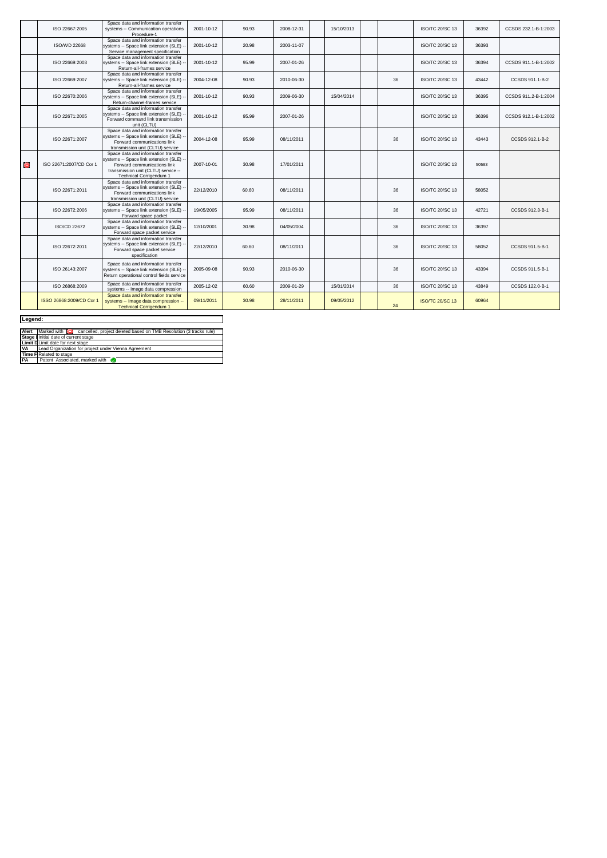|         | ISO 22667:2005           | Space data and information transfer<br>systems -- Communication operations<br>Procedure-1                                                                                     | 2001-10-12 | 90.93 | 2008-12-31 | 15/10/2013 |    | ISO/TC 20/SC 13        | 36392 | CCSDS 232.1-B-1:2003 |
|---------|--------------------------|-------------------------------------------------------------------------------------------------------------------------------------------------------------------------------|------------|-------|------------|------------|----|------------------------|-------|----------------------|
|         | <b>ISO/WD 22668</b>      | Space data and information transfer<br>systems -- Space link extension (SLE)<br>Service management specification                                                              | 2001-10-12 | 20.98 | 2003-11-07 |            |    | <b>ISO/TC 20/SC 13</b> | 36393 |                      |
|         | ISO 22669:2003           | Space data and information transfer<br>systems -- Space link extension (SLE)<br>Return-all-frames service                                                                     | 2001-10-12 | 95.99 | 2007-01-26 |            |    | <b>ISO/TC 20/SC 13</b> | 36394 | CCSDS 911.1-B-1:2002 |
|         | ISO 22669:2007           | Space data and information transfer<br>systems -- Space link extension (SLE)<br>Return-all-frames service                                                                     | 2004-12-08 | 90.93 | 2010-06-30 |            | 36 | ISO/TC 20/SC 13        | 43442 | CCSDS 911.1-B-2      |
|         | ISO 22670:2006           | Space data and information transfer<br>systems -- Space link extension (SLE)<br>Return-channel-frames service                                                                 | 2001-10-12 | 90.93 | 2009-06-30 | 15/04/2014 |    | <b>ISO/TC 20/SC 13</b> | 36395 | CCSDS 911.2-B-1:2004 |
|         | ISO 22671:2005           | Space data and information transfer<br>systems -- Space link extension (SLE)<br>Forward command link transmission<br>unit (CLTU)                                              | 2001-10-12 | 95.99 | 2007-01-26 |            |    | <b>ISO/TC 20/SC 13</b> | 36396 | CCSDS 912.1-B-1:2002 |
|         | ISO 22671:2007           | Space data and information transfer<br>systems -- Space link extension (SLE)<br>Forward communications link<br>transmission unit (CLTU) service                               | 2004-12-08 | 95.99 | 08/11/2011 |            | 36 | <b>ISO/TC 20/SC 13</b> | 43443 | CCSDS 912.1-B-2      |
| $\odot$ | ISO 22671:2007/CD Cor 1  | Space data and information transfer<br>systems -- Space link extension (SLE)<br>Forward communications link<br>transmission unit (CLTU) service --<br>Technical Corrigendum 1 | 2007-10-01 | 30.98 | 17/01/2011 |            |    | <b>ISO/TC 20/SC 13</b> | 50583 |                      |
|         | ISO 22671:2011           | Space data and information transfer<br>systems -- Space link extension (SLE)<br>Forward communications link<br>transmission unit (CLTU) service                               | 22/12/2010 | 60.60 | 08/11/2011 |            | 36 | <b>ISO/TC 20/SC 13</b> | 58052 |                      |
|         | ISO 22672:2006           | Space data and information transfer<br>systems -- Space link extension (SLE)<br>Forward space packet                                                                          | 19/05/2005 | 95.99 | 08/11/2011 |            | 36 | <b>ISO/TC 20/SC 13</b> | 42721 | CCSDS 912.3-B-1      |
|         | ISO/CD 22672             | Space data and information transfer<br>systems -- Space link extension (SLE)<br>Forward space packet service                                                                  | 12/10/2001 | 30.98 | 04/05/2004 |            | 36 | <b>ISO/TC 20/SC 13</b> | 36397 |                      |
|         | ISO 22672:2011           | Space data and information transfer<br>systems -- Space link extension (SLE)<br>Forward space packet service<br>specification                                                 | 22/12/2010 | 60.60 | 08/11/2011 |            | 36 | <b>ISO/TC 20/SC 13</b> | 58052 | CCSDS 911.5-B-1      |
|         | ISO 26143:2007           | Space data and information transfer<br>systems -- Space link extension (SLE)<br>Return operational control fields service                                                     | 2005-09-08 | 90.93 | 2010-06-30 |            | 36 | <b>ISO/TC 20/SC 13</b> | 43394 | CCSDS 911.5-B-1      |
|         | ISO 26868:2009           | Space data and information transfer<br>systems -- Image data compression                                                                                                      | 2005-12-02 | 60.60 | 2009-01-29 | 15/01/2014 | 36 | ISO/TC 20/SC 13        | 43849 | CCSDS 122.0-B-1      |
|         | ISSO 26868:2009/CD Cor 1 | Space data and information transfer<br>systems -- Image data compression --<br><b>Technical Corrigendum 1</b>                                                                 | 09/11/2011 | 30.98 | 28/11/2011 | 09/05/2012 | 24 | <b>ISO/TC 20/SC 13</b> | 60964 |                      |

## **Legend:**

| Legend:   |                                                                                   |  |  |  |  |  |  |  |  |
|-----------|-----------------------------------------------------------------------------------|--|--|--|--|--|--|--|--|
| Alert     | Marked with<br>cancelled, project deleted based on TMB Resolution (3 tracks rule) |  |  |  |  |  |  |  |  |
|           | Stage I Initial date of current stage                                             |  |  |  |  |  |  |  |  |
|           | Limit D Limit date for next stage                                                 |  |  |  |  |  |  |  |  |
| VA        | Lead Organization for project under Vienna Agreement                              |  |  |  |  |  |  |  |  |
|           | <b>Time F Related to stage</b>                                                    |  |  |  |  |  |  |  |  |
| <b>PA</b> | Patent Associated, marked with                                                    |  |  |  |  |  |  |  |  |